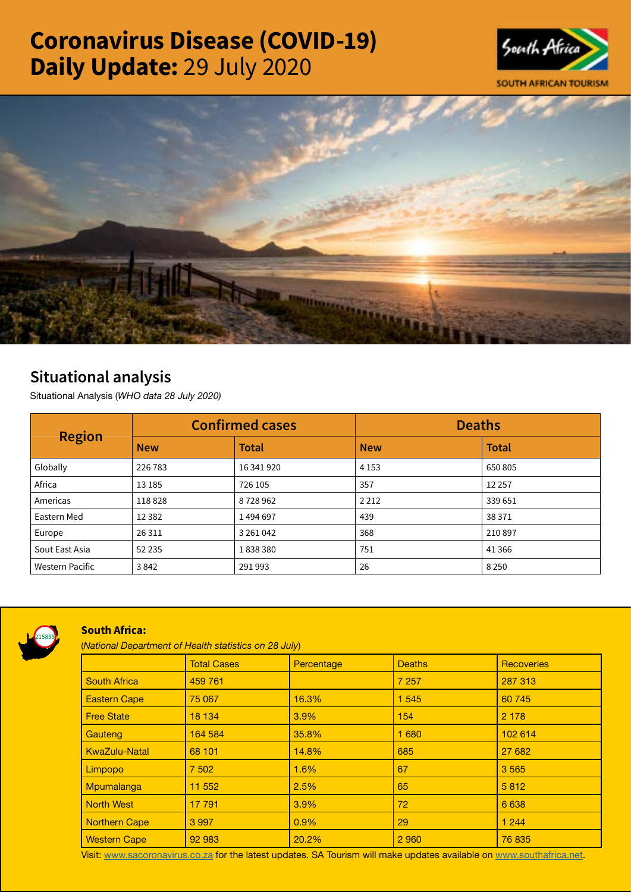# Coronavirus Disease (COVID-19) Daily Update: 29 July 2020





## Situational analysis

Situational Analysis (*WHO data 28 July 2020)*

| <b>Region</b>          | <b>Confirmed cases</b> |              | <b>Deaths</b> |              |
|------------------------|------------------------|--------------|---------------|--------------|
|                        | <b>New</b>             | <b>Total</b> | <b>New</b>    | <b>Total</b> |
| Globally               | 226 783                | 16 341 920   | 4 1 5 3       | 650 805      |
| Africa                 | 13 185                 | 726 105      | 357           | 12 2 5 7     |
| Americas               | 118828                 | 8728962      | 2 2 1 2       | 339 651      |
| Eastern Med            | 12 3 8 2               | 1494697      | 439           | 38 371       |
| Europe                 | 26 3 11                | 3 261 042    | 368           | 210 897      |
| Sout East Asia         | 52 2 35                | 1838380      | 751           | 41 3 66      |
| <b>Western Pacific</b> | 3842                   | 291993       | 26            | 8 2 5 0      |



### South Africa:

(*National Department of Health statistics on 28 July*)

|                      | <b>Total Cases</b> | Percentage | <b>Deaths</b> | <b>Recoveries</b> |  |
|----------------------|--------------------|------------|---------------|-------------------|--|
| <b>South Africa</b>  | 459 761            |            | 7 2 5 7       | 287 313           |  |
| <b>Eastern Cape</b>  | 75 067             | 16.3%      | 1 5 4 5       | 60 745            |  |
| <b>Free State</b>    | 18 134             | 3.9%       | 154           | 2 1 7 8           |  |
| Gauteng              | 164 584            | 35.8%      | 1 6 8 0       | 102 614           |  |
| <b>KwaZulu-Natal</b> | 68 101             | 14.8%      | 685           | 27 682            |  |
| Limpopo              | 7 502              | 1.6%       | 67            | 3565              |  |
| Mpumalanga           | 11 552             | 2.5%       | 65            | 5812              |  |
| <b>North West</b>    | 17 791             | 3.9%       | 72            | 6 6 3 8           |  |
| <b>Northern Cape</b> | 3 9 9 7            | 0.9%       | 29            | 1 2 4 4           |  |
| <b>Western Cape</b>  | 92 983             | 20.2%      | 2 9 6 0       | 76835             |  |

Visit: [www.sacoronavirus.co.za](http://www.sacoronavirus.co.za) for the latest updates. SA Tourism will make updates available on [www.southafrica.net.](http://www.southafrica.net)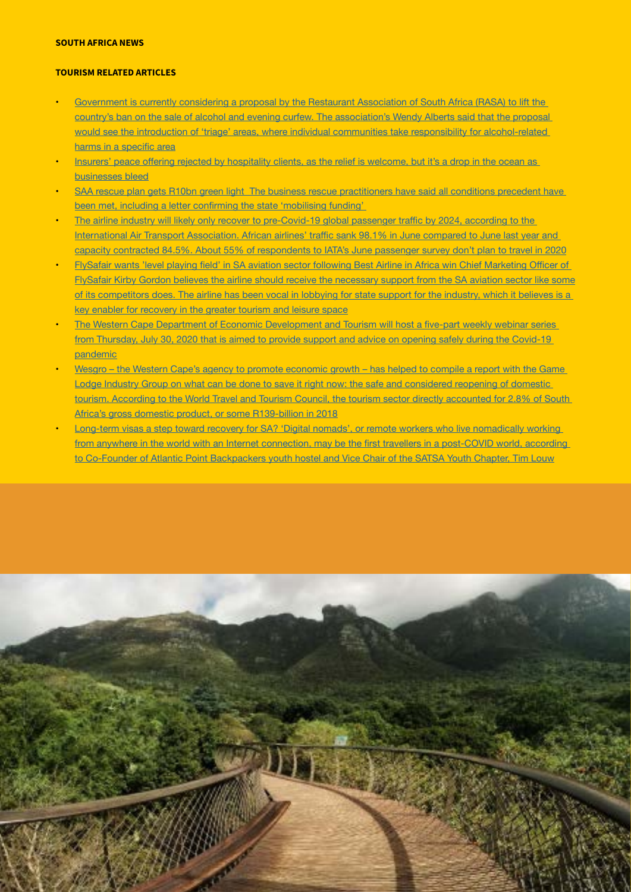#### SOUTH AFRICA NEWS

#### TOURISM RELATED ARTICLES

- Government is currently considering a proposal by the Restaurant Association of South Africa (RASA) to lift the [country's ban on the sale of alcohol and evening curfew. The association's Wendy Alberts said that the proposal](https://businesstech.co.za/news/lifestyle/420271/government-looking-at-new-proposal-to-lift-south-africas-alcohol-sales-ban-association/)  [would see the introduction of 'triage' areas, where individual communities take responsibility for alcohol-related](https://businesstech.co.za/news/lifestyle/420271/government-looking-at-new-proposal-to-lift-south-africas-alcohol-sales-ban-association/)  harms in a [specific](https://businesstech.co.za/news/lifestyle/420271/government-looking-at-new-proposal-to-lift-south-africas-alcohol-sales-ban-association/) area
- Insurers' peace offering rejected by [hospitality](https://www.timeslive.co.za/news/consumer-live/2020-07-28-insurers-peace-offering-rejected-by-hospitality-clients/) clients, as the relief is welcome, but it's a drop in the ocean as [businesses bleed](https://www.timeslive.co.za/news/consumer-live/2020-07-28-insurers-peace-offering-rejected-by-hospitality-clients/)
- SAA rescue plan gets R10bn green light The business rescue practitioners have said all conditions precedent have been met, including a letter confirming the state ['mobilising](https://www.businesslive.co.za/bd/national/2020-07-28-saa-rescue-plan-gets-r10bn-green-light/) funding'
- The airline industry will likely only recover to [pre-Covid-19](https://www.news24.com/fin24/companies/industrial/load-factor-lowest-among-african-airlines-industry-could-take-till-2024-to-recover-20200728) global passenger traffic by 2024, according to the [International](https://www.news24.com/fin24/companies/industrial/load-factor-lowest-among-african-airlines-industry-could-take-till-2024-to-recover-20200728) Air Transport Association. African airlines' traffic sank 98.1% in June compared to June last year and capacity contracted 84.5%. About 55% of [respondents](https://www.news24.com/fin24/companies/industrial/load-factor-lowest-among-african-airlines-industry-could-take-till-2024-to-recover-20200728) to IATA's June passenger survey don't plan to travel in 2020
- FlySafair wants 'level playing field' in SA aviation sector following Best Airline in Africa win Chief [Marketing](https://www.iol.co.za/travel/travel-news/flysafair-wants-level-playing-field-in-sa-aviation-sector-following-best-airline-in-africa-win-4a89eace-fd39-49f3-8750-b7ef33ace425) Officer of [FlySafair Kirby Gordon believes the airline should receive the necessary support from the SA aviation sector like some](https://www.iol.co.za/travel/travel-news/flysafair-wants-level-playing-field-in-sa-aviation-sector-following-best-airline-in-africa-win-4a89eace-fd39-49f3-8750-b7ef33ace425)  [of its competitors does. The airline has been vocal in lobbying for state support for the industry, which it believes is a](https://www.iol.co.za/travel/travel-news/flysafair-wants-level-playing-field-in-sa-aviation-sector-following-best-airline-in-africa-win-4a89eace-fd39-49f3-8750-b7ef33ace425)  [key enabler for recovery in the greater tourism and leisure space](https://www.iol.co.za/travel/travel-news/flysafair-wants-level-playing-field-in-sa-aviation-sector-following-best-airline-in-africa-win-4a89eace-fd39-49f3-8750-b7ef33ace425)
- The Western Cape Department of Economic [Development](https://www.iol.co.za/travel/south-africa/western-cape/western-capes-5-part-webinar-series-to-help-tourism-sector-reopen-safely-2efef138-33ca-40d5-99cb-540bb39a5996) and Tourism will host a five-part weekly webinar series from [Thursday,](https://www.iol.co.za/travel/south-africa/western-cape/western-capes-5-part-webinar-series-to-help-tourism-sector-reopen-safely-2efef138-33ca-40d5-99cb-540bb39a5996) July 30, 2020 that is aimed to provide support and advice on opening safely during the Covid-19 [pandemic](https://www.iol.co.za/travel/south-africa/western-cape/western-capes-5-part-webinar-series-to-help-tourism-sector-reopen-safely-2efef138-33ca-40d5-99cb-540bb39a5996)
- Wesgro the Western Cape's agency to promote economic growth has helped to compile a report with the Game Lodge Industry Group on what can be done to save it right now: the safe and considered reopening of domestic [tourism. According to the World Travel and Tourism Council, the tourism sector directly accounted for 2.8% of South](https://www.dailymaverick.co.za/article/2020-07-29-steps-towards-a-smarter-lockdown-game-lodges/#gsc.tab=0)  [Africa's gross domestic product, or some R139-billion in 2018](https://www.dailymaverick.co.za/article/2020-07-29-steps-towards-a-smarter-lockdown-game-lodges/#gsc.tab=0)
- Long-term visas a step toward recovery for SA? 'Digital nomads', or remote workers who live nomadically working from anywhere in the world with an Internet connection, may be the first travellers in a [post-COVID](https://www.tourismupdate.co.za/article/long-term-visas-step-toward-recovery-sa) world, according to Co-Founder of Atlantic Point [Backpackers](https://www.tourismupdate.co.za/article/long-term-visas-step-toward-recovery-sa) youth hostel and Vice Chair of the SATSA Youth Chapter, Tim Louw